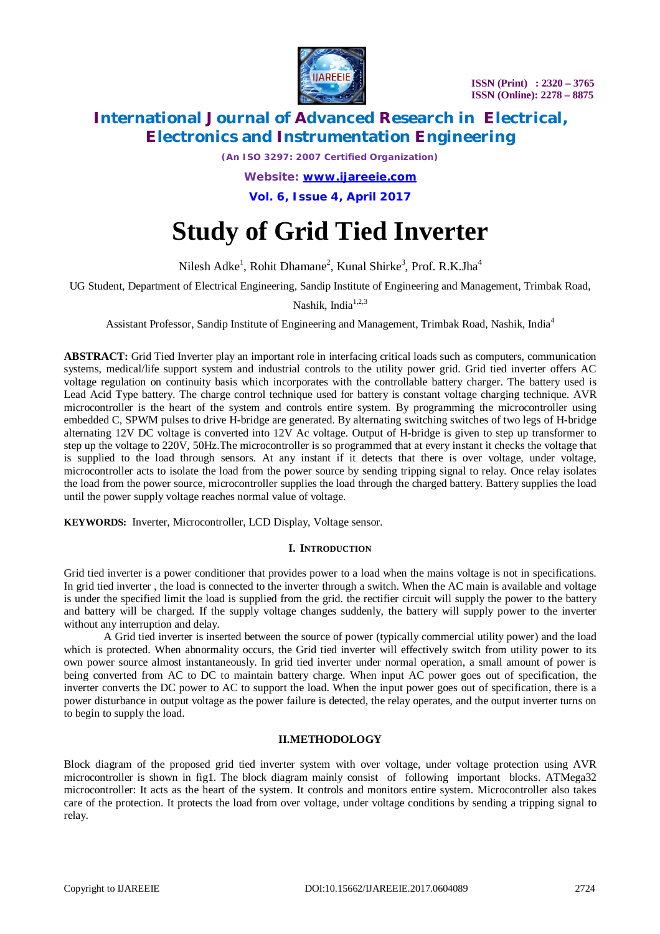

 **ISSN (Print) : 2320 – 3765 ISSN (Online): 2278 – 8875**

# **International Journal of Advanced Research in Electrical, Electronics and Instrumentation Engineering**

*(An ISO 3297: 2007 Certified Organization)*

*Website: [www.ijareeie.com](http://www.ijareeie.com)* **Vol. 6, Issue 4, April 2017**

# **Study of Grid Tied Inverter**

Nilesh Adke<sup>1</sup>, Rohit Dhamane<sup>2</sup>, Kunal Shirke<sup>3</sup>, Prof. R.K.Jha<sup>4</sup>

UG Student, Department of Electrical Engineering, Sandip Institute of Engineering and Management, Trimbak Road,

Nashik, India $1,2,3$ 

Assistant Professor, Sandip Institute of Engineering and Management, Trimbak Road, Nashik, India<sup>4</sup>

**ABSTRACT:** Grid Tied Inverter play an important role in interfacing critical loads such as computers, communication systems, medical/life support system and industrial controls to the utility power grid. Grid tied inverter offers AC voltage regulation on continuity basis which incorporates with the controllable battery charger. The battery used is Lead Acid Type battery. The charge control technique used for battery is constant voltage charging technique. AVR microcontroller is the heart of the system and controls entire system. By programming the microcontroller using embedded C, SPWM pulses to drive H-bridge are generated. By alternating switching switches of two legs of H-bridge alternating 12V DC voltage is converted into 12V Ac voltage. Output of H-bridge is given to step up transformer to step up the voltage to 220V, 50Hz.The microcontroller is so programmed that at every instant it checks the voltage that is supplied to the load through sensors. At any instant if it detects that there is over voltage, under voltage, microcontroller acts to isolate the load from the power source by sending tripping signal to relay. Once relay isolates the load from the power source, microcontroller supplies the load through the charged battery. Battery supplies the load until the power supply voltage reaches normal value of voltage.

**KEYWORDS:** Inverter, Microcontroller, LCD Display, Voltage sensor.

### **I. INTRODUCTION**

Grid tied inverter is a power conditioner that provides power to a load when the mains voltage is not in specifications. In grid tied inverter , the load is connected to the inverter through a switch. When the AC main is available and voltage is under the specified limit the load is supplied from the grid. the rectifier circuit will supply the power to the battery and battery will be charged. If the supply voltage changes suddenly, the battery will supply power to the inverter without any interruption and delay.

A Grid tied inverter is inserted between the source of power (typically commercial utility power) and the load which is protected. When abnormality occurs, the Grid tied inverter will effectively switch from utility power to its own power source almost instantaneously. In grid tied inverter under normal operation, a small amount of power is being converted from AC to DC to maintain battery charge. When input AC power goes out of specification, the inverter converts the DC power to AC to support the load. When the input power goes out of specification, there is a power disturbance in output voltage as the power failure is detected, the relay operates, and the output inverter turns on to begin to supply the load.

### **II.METHODOLOGY**

Block diagram of the proposed grid tied inverter system with over voltage, under voltage protection using AVR microcontroller is shown in fig1. The block diagram mainly consist of following important blocks. ATMega32 microcontroller: It acts as the heart of the system. It controls and monitors entire system. Microcontroller also takes care of the protection. It protects the load from over voltage, under voltage conditions by sending a tripping signal to relay.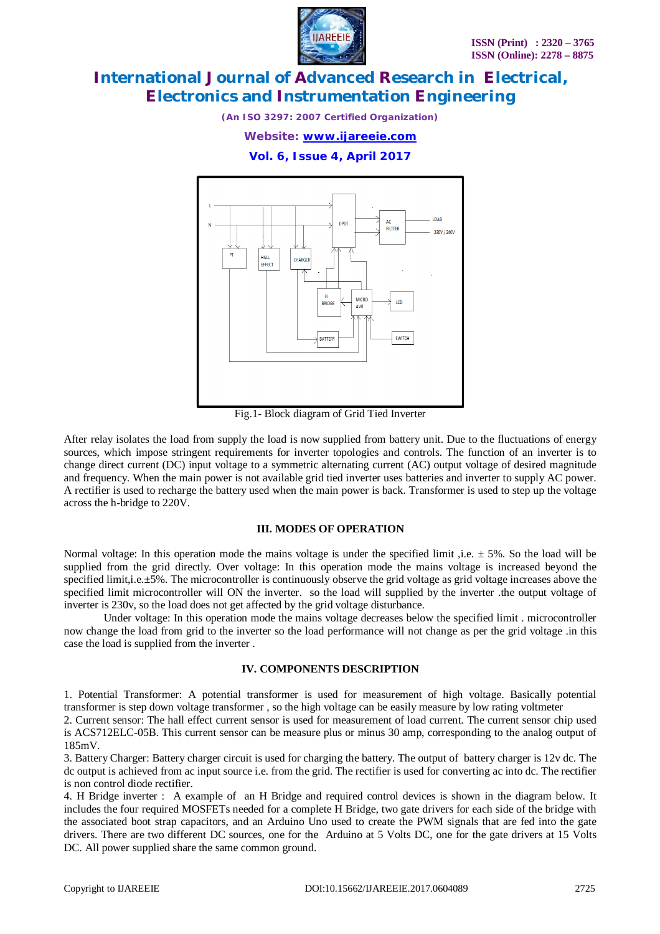

*(An ISO 3297: 2007 Certified Organization)*

### *Website: [www.ijareeie.com](http://www.ijareeie.com)*

**Vol. 6, Issue 4, April 2017**



Fig.1- Block diagram of Grid Tied Inverter

After relay isolates the load from supply the load is now supplied from battery unit. Due to the fluctuations of energy sources, which impose stringent requirements for inverter topologies and controls. The function of an inverter is to change direct current (DC) input voltage to a symmetric alternating current (AC) output voltage of desired magnitude and frequency. When the main power is not available grid tied inverter uses batteries and inverter to supply AC power. A rectifier is used to recharge the battery used when the main power is back. Transformer is used to step up the voltage across the h-bridge to 220V.

### **III. MODES OF OPERATION**

Normal voltage: In this operation mode the mains voltage is under the specified limit, i.e.  $\pm$  5%. So the load will be supplied from the grid directly. Over voltage: In this operation mode the mains voltage is increased beyond the specified limit,i.e. $\pm$ 5%. The microcontroller is continuously observe the grid voltage as grid voltage increases above the specified limit microcontroller will ON the inverter. so the load will supplied by the inverter .the output voltage of inverter is 230v, so the load does not get affected by the grid voltage disturbance.

Under voltage: In this operation mode the mains voltage decreases below the specified limit . microcontroller now change the load from grid to the inverter so the load performance will not change as per the grid voltage .in this case the load is supplied from the inverter .

### **IV. COMPONENTS DESCRIPTION**

1. Potential Transformer: A potential transformer is used for measurement of high voltage. Basically potential transformer is step down voltage transformer , so the high voltage can be easily measure by low rating voltmeter

2. Current sensor: The hall effect current sensor is used for measurement of load current. The current sensor chip used is ACS712ELC-05B. This current sensor can be measure plus or minus 30 amp, corresponding to the analog output of 185mV.

3. Battery Charger: Battery charger circuit is used for charging the battery. The output of battery charger is 12v dc. The dc output is achieved from ac input source i.e. from the grid. The rectifier is used for converting ac into dc. The rectifier is non control diode rectifier.

4. H Bridge inverter : A example of an H Bridge and required control devices is shown in the diagram below. It includes the four required MOSFETs needed for a complete H Bridge, two gate drivers for each side of the bridge with the associated boot strap capacitors, and an Arduino Uno used to create the PWM signals that are fed into the gate drivers. There are two different DC sources, one for the Arduino at 5 Volts DC, one for the gate drivers at 15 Volts DC. All power supplied share the same common ground.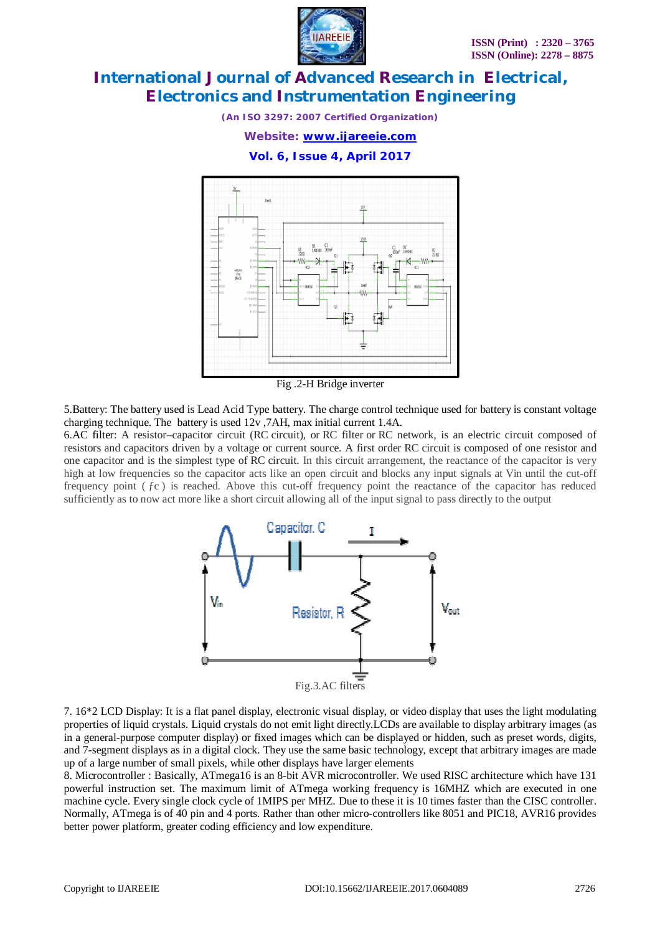

*(An ISO 3297: 2007 Certified Organization)*

*Website: [www.ijareeie.com](http://www.ijareeie.com)*

**Vol. 6, Issue 4, April 2017**



Fig .2-H Bridge inverter

5.Battery: The battery used is Lead Acid Type battery. The charge control technique used for battery is constant voltage charging technique. The battery is used 12v ,7AH, max initial current 1.4A.

6.AC filter: A resistor–capacitor circuit (RC circuit), or RC filter or RC network, is an electric circuit composed of resistors and capacitors driven by a voltage or current source. A first order RC circuit is composed of one resistor and one capacitor and is the simplest type of RC circuit. In this circuit arrangement, the reactance of the capacitor is very high at low frequencies so the capacitor acts like an open circuit and blocks any input signals at Vin until the cut-off frequency point  $( fc )$  is reached. Above this cut-off frequency point the reactance of the capacitor has reduced sufficiently as to now act more like a short circuit allowing all of the input signal to pass directly to the output



7. 16\*2 LCD Display: It is a flat panel display, electronic visual display, or video display that uses the light modulating properties of liquid crystals. Liquid crystals do not emit light directly.LCDs are available to display arbitrary images (as in a general-purpose computer display) or fixed images which can be displayed or hidden, such as preset words, digits, and 7-segment displays as in a digital clock. They use the same basic technology, except that arbitrary images are made up of a large number of small pixels, while other displays have larger elements

8. Microcontroller : Basically, ATmega16 is an 8-bit AVR microcontroller. We used RISC architecture which have 131 powerful instruction set. The maximum limit of ATmega working frequency is 16MHZ which are executed in one machine cycle. Every single clock cycle of 1MIPS per MHZ. Due to these it is 10 times faster than the CISC controller. Normally, ATmega is of 40 pin and 4 ports. Rather than other micro-controllers like 8051 and PIC18, AVR16 provides better power platform, greater coding efficiency and low expenditure.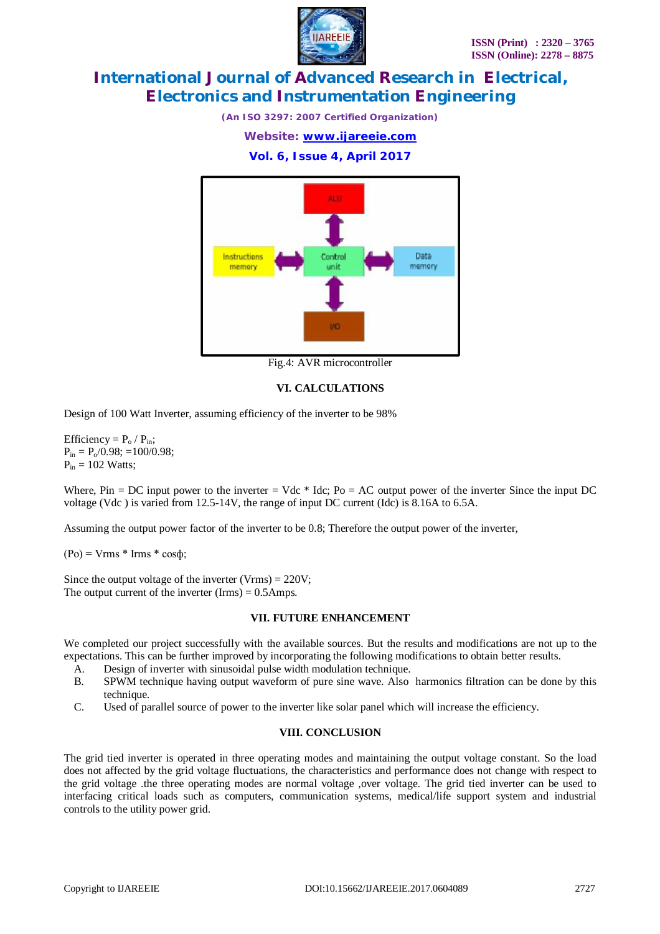

*(An ISO 3297: 2007 Certified Organization)*

*Website: [www.ijareeie.com](http://www.ijareeie.com)*

### **Vol. 6, Issue 4, April 2017**



Fig.4: AVR microcontroller

### **VI. CALCULATIONS**

Design of 100 Watt Inverter, assuming efficiency of the inverter to be 98%

Efficiency =  $P_0 / P_{in}$ ;  $P_{in} = P_0/0.98$ ; =100/0.98;  $P_{in} = 102$  Watts;

Where, Pin = DC input power to the inverter = Vdc  $*$  Idc; Po = AC output power of the inverter Since the input DC voltage (Vdc ) is varied from 12.5-14V, the range of input DC current (Idc) is 8.16A to 6.5A.

Assuming the output power factor of the inverter to be 0.8; Therefore the output power of the inverter,

 $(Po) = Vrms * Irms * cos \phi;$ 

Since the output voltage of the inverter  $(Vrms) = 220V$ ; The output current of the inverter  $(Ims) = 0.5Amps$ .

### **VII. FUTURE ENHANCEMENT**

We completed our project successfully with the available sources. But the results and modifications are not up to the expectations. This can be further improved by incorporating the following modifications to obtain better results.

- A. Design of inverter with sinusoidal pulse width modulation technique.
- B. SPWM technique having output waveform of pure sine wave. Also harmonics filtration can be done by this technique.
- C. Used of parallel source of power to the inverter like solar panel which will increase the efficiency.

### **VIII. CONCLUSION**

The grid tied inverter is operated in three operating modes and maintaining the output voltage constant. So the load does not affected by the grid voltage fluctuations, the characteristics and performance does not change with respect to the grid voltage .the three operating modes are normal voltage ,over voltage. The grid tied inverter can be used to interfacing critical loads such as computers, communication systems, medical/life support system and industrial controls to the utility power grid.